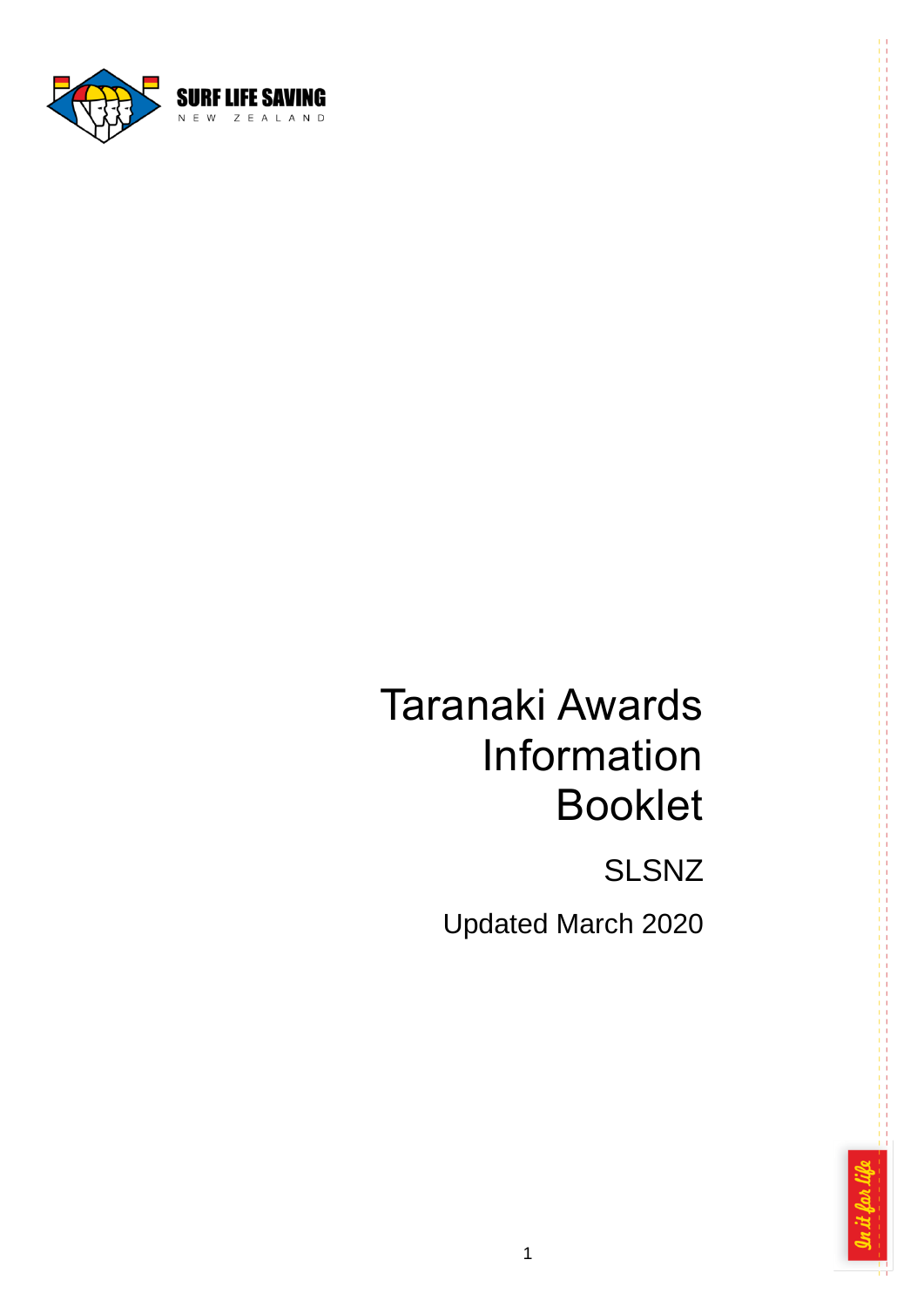

# Taranaki Awards Information Booklet

SLSNZ

Updated March 2020

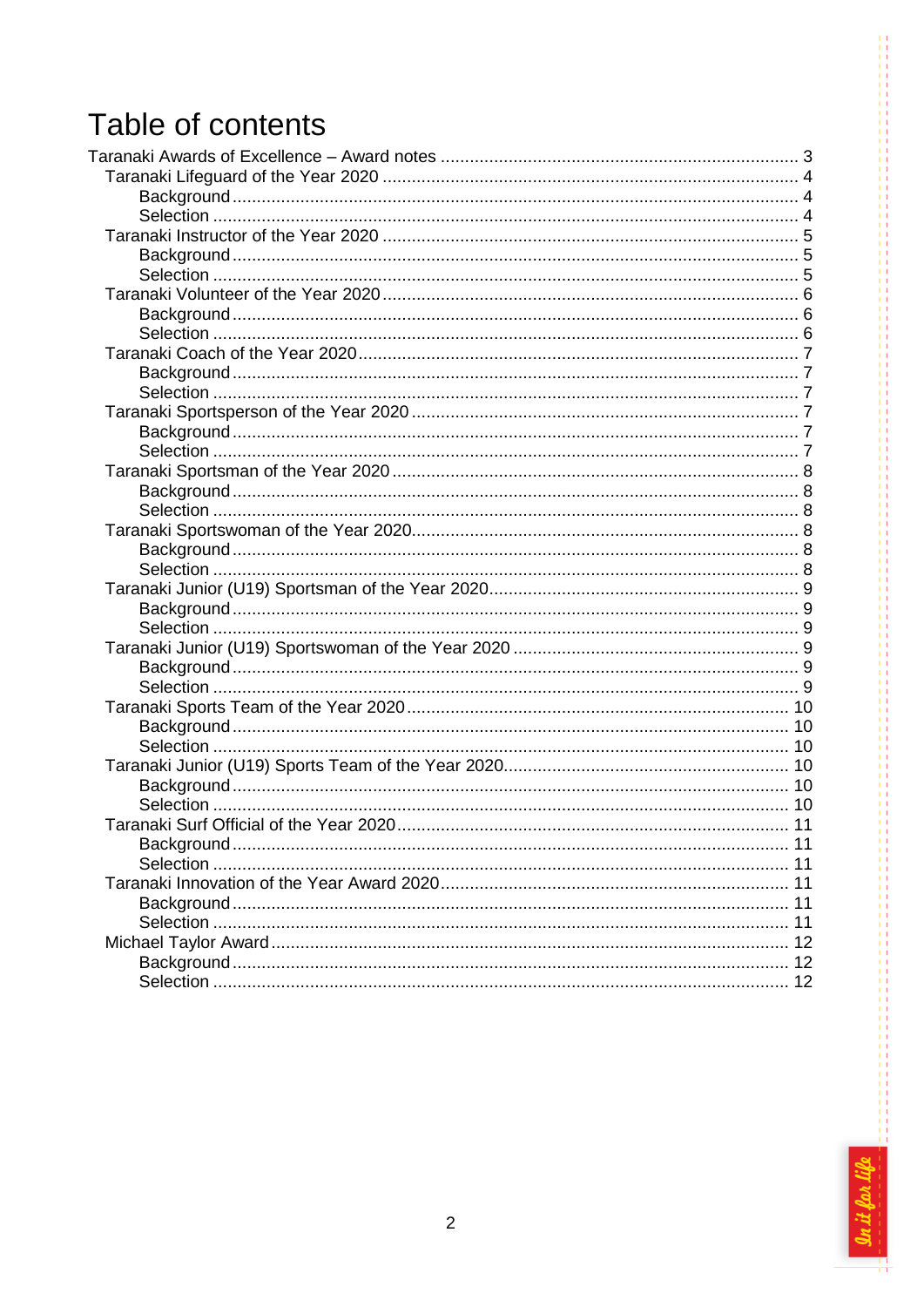# Table of contents

| 11 |
|----|
|    |
|    |
|    |

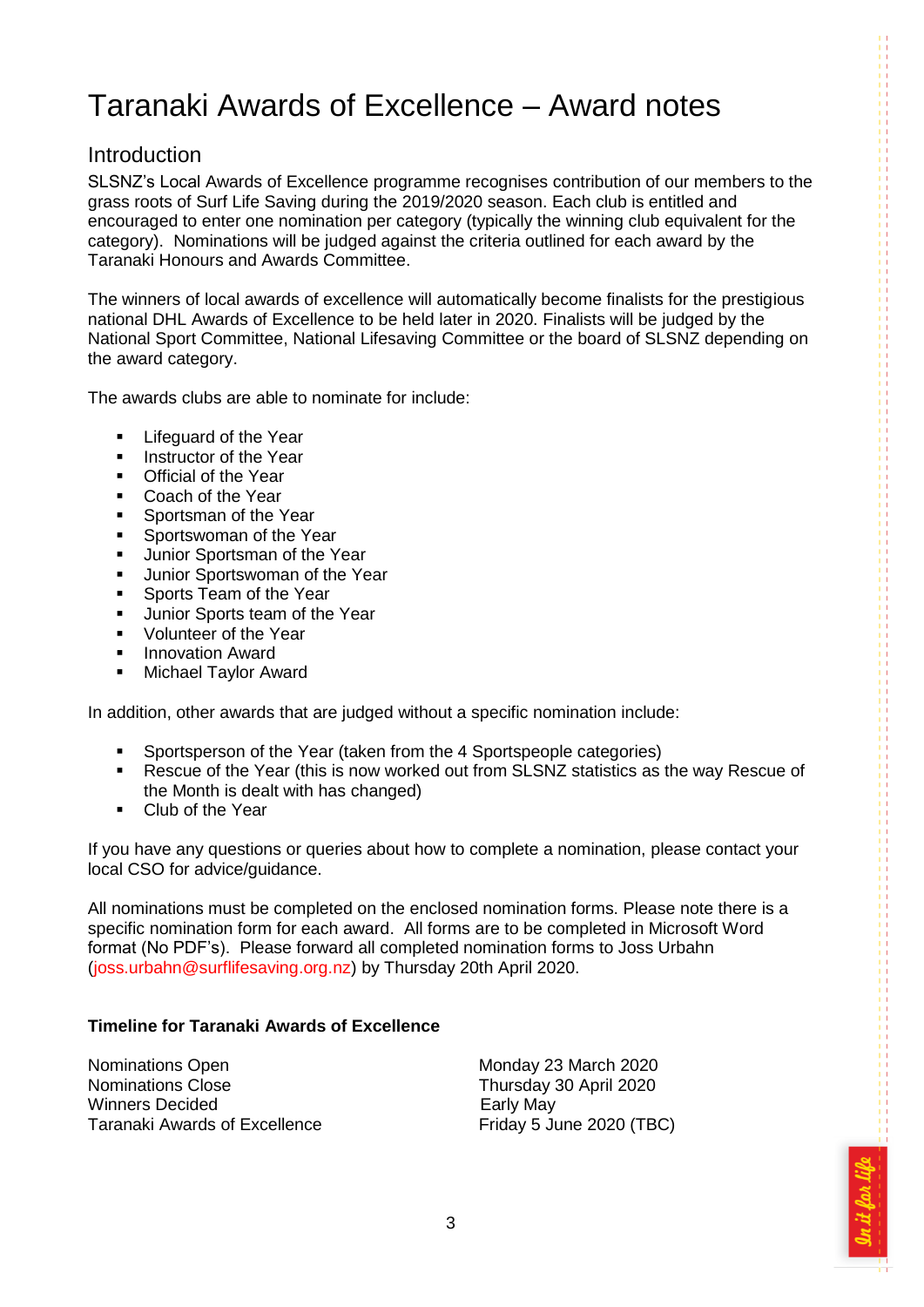### <span id="page-2-0"></span>Taranaki Awards of Excellence – Award notes

### **Introduction**

SLSNZ's Local Awards of Excellence programme recognises contribution of our members to the grass roots of Surf Life Saving during the 2019/2020 season. Each club is entitled and encouraged to enter one nomination per category (typically the winning club equivalent for the category). Nominations will be judged against the criteria outlined for each award by the Taranaki Honours and Awards Committee.

The winners of local awards of excellence will automatically become finalists for the prestigious national DHL Awards of Excellence to be held later in 2020. Finalists will be judged by the National Sport Committee, National Lifesaving Committee or the board of SLSNZ depending on the award category.

The awards clubs are able to nominate for include:

- **EXECUTE:** Lifeguard of the Year
- **Instructor of the Year**
- Official of the Year<br>• Coach of the Year
- Coach of the Year
- **Sportsman of the Year**
- **Sportswoman of the Year**
- **Junior Sportsman of the Year**
- **Junior Sportswoman of the Year**
- Sports Team of the Year
- **Junior Sports team of the Year**
- Volunteer of the Year<br>Innovation Award
- Innovation Award
- **Nichael Taylor Award**

In addition, other awards that are judged without a specific nomination include:

- **Sportsperson of the Year (taken from the 4 Sportspeople categories)**
- Rescue of the Year (this is now worked out from SLSNZ statistics as the way Rescue of the Month is dealt with has changed)
- **-** Club of the Year

If you have any questions or queries about how to complete a nomination, please contact your local CSO for advice/guidance.

All nominations must be completed on the enclosed nomination forms. Please note there is a specific nomination form for each award. All forms are to be completed in Microsoft Word format (No PDF's). Please forward all completed nomination forms to Joss Urbahn (joss.urbahn@surflifesaving.org.nz) by Thursday 20th April 2020.

#### **Timeline for Taranaki Awards of Excellence**

Nominations Open Monday 23 March 2020 Nominations Close Thursday 30 April 2020 Winners Decided **Early May** Taranaki Awards of Excellence Friday 5 June 2020 (TBC)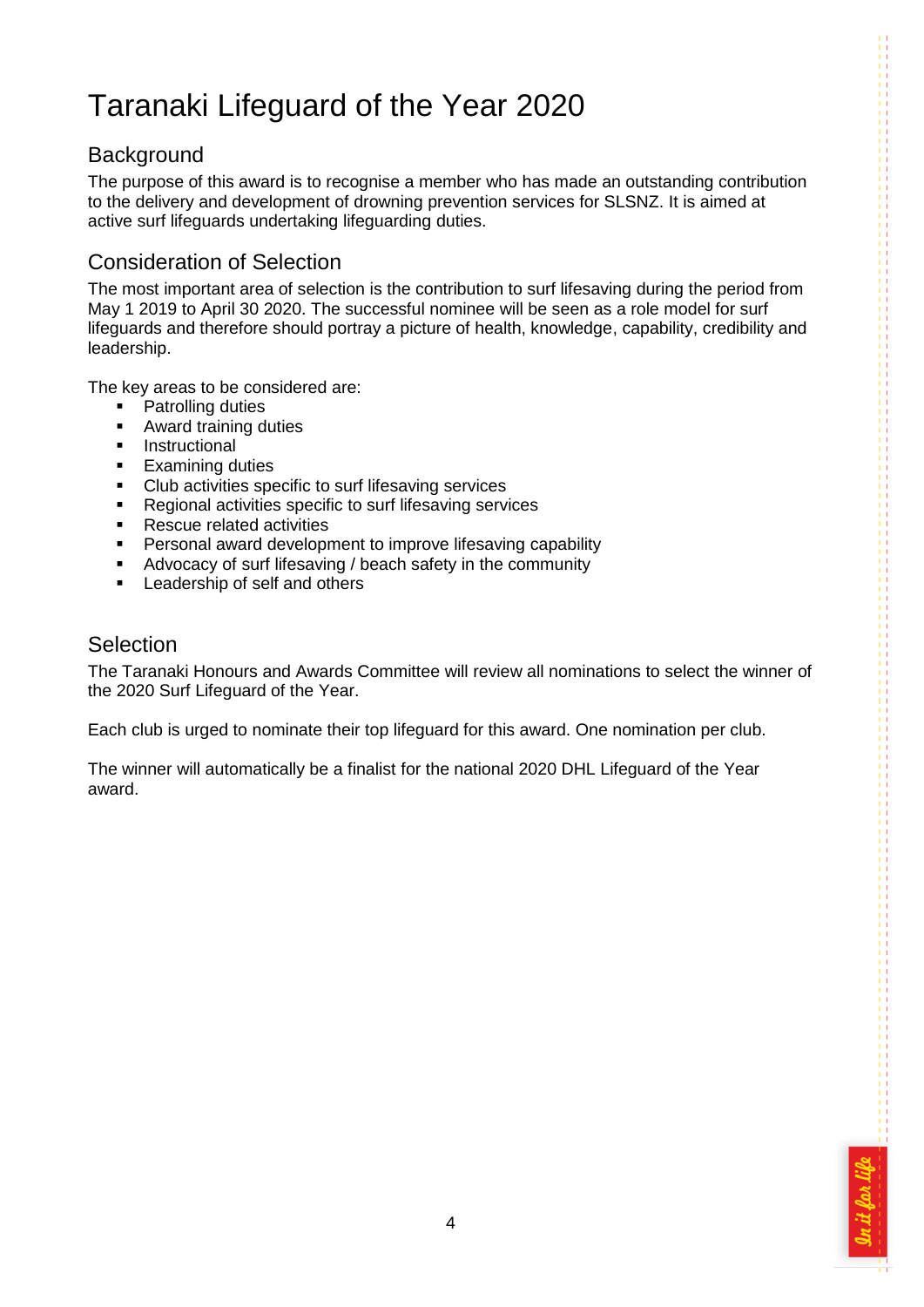### <span id="page-3-0"></span>Taranaki Lifeguard of the Year 2020

### <span id="page-3-1"></span>**Background**

The purpose of this award is to recognise a member who has made an outstanding contribution to the delivery and development of drowning prevention services for SLSNZ. It is aimed at active surf lifeguards undertaking lifeguarding duties.

### Consideration of Selection

The most important area of selection is the contribution to surf lifesaving during the period from May 1 2019 to April 30 2020. The successful nominee will be seen as a role model for surf lifeguards and therefore should portray a picture of health, knowledge, capability, credibility and leadership.

The key areas to be considered are:

- Patrolling duties
- **Award training duties**
- **Instructional**
- **Examining duties**
- **Club activities specific to surf lifesaving services**<br>**Regional activities specific to surf lifesaving servital**
- Regional activities specific to surf lifesaving services
- Rescue related activities
- **Personal award development to improve lifesaving capability**
- Advocacy of surf lifesaving / beach safety in the community
- **Leadership of self and others**

### <span id="page-3-2"></span>Selection

The Taranaki Honours and Awards Committee will review all nominations to select the winner of the 2020 Surf Lifeguard of the Year.

Each club is urged to nominate their top lifeguard for this award. One nomination per club.

The winner will automatically be a finalist for the national 2020 DHL Lifeguard of the Year award.

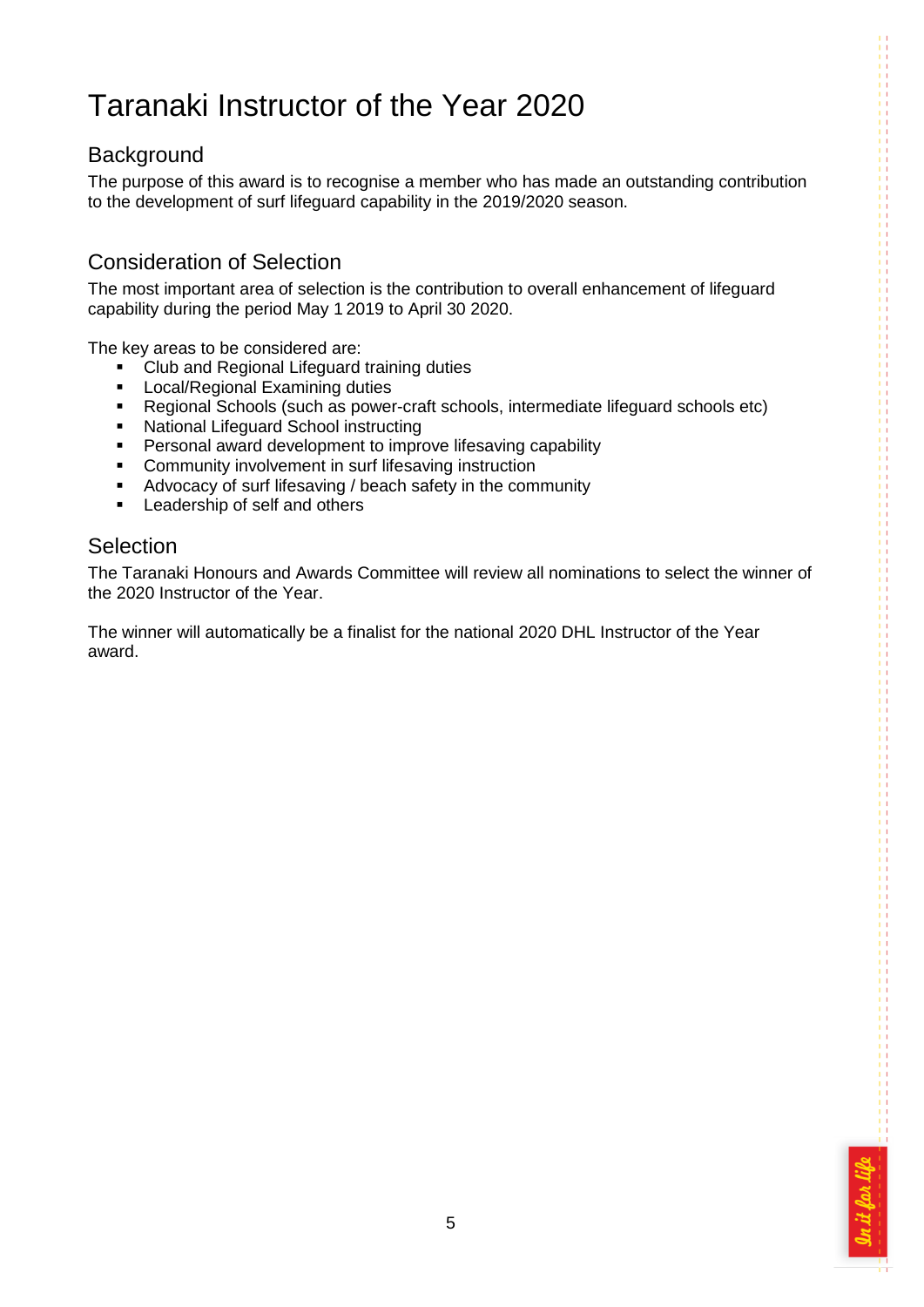### <span id="page-4-0"></span>Taranaki Instructor of the Year 2020

### <span id="page-4-1"></span>**Background**

The purpose of this award is to recognise a member who has made an outstanding contribution to the development of surf lifeguard capability in the 2019/2020 season.

### Consideration of Selection

The most important area of selection is the contribution to overall enhancement of lifeguard capability during the period May 1 2019 to April 30 2020.

The key areas to be considered are:

- Club and Regional Lifeguard training duties
- **Local/Regional Examining duties**
- Regional Schools (such as power-craft schools, intermediate lifeguard schools etc)
- **National Lifeguard School instructing**
- **Personal award development to improve lifesaving capability**
- **EXECOMMUNITY COMMUNIST COMMUNIST COMMUNIST COMMUNIST**
- Advocacy of surf lifesaving / beach safety in the community
- **Leadership of self and others**

#### <span id="page-4-2"></span>**Selection**

The Taranaki Honours and Awards Committee will review all nominations to select the winner of the 2020 Instructor of the Year.

The winner will automatically be a finalist for the national 2020 DHL Instructor of the Year award.

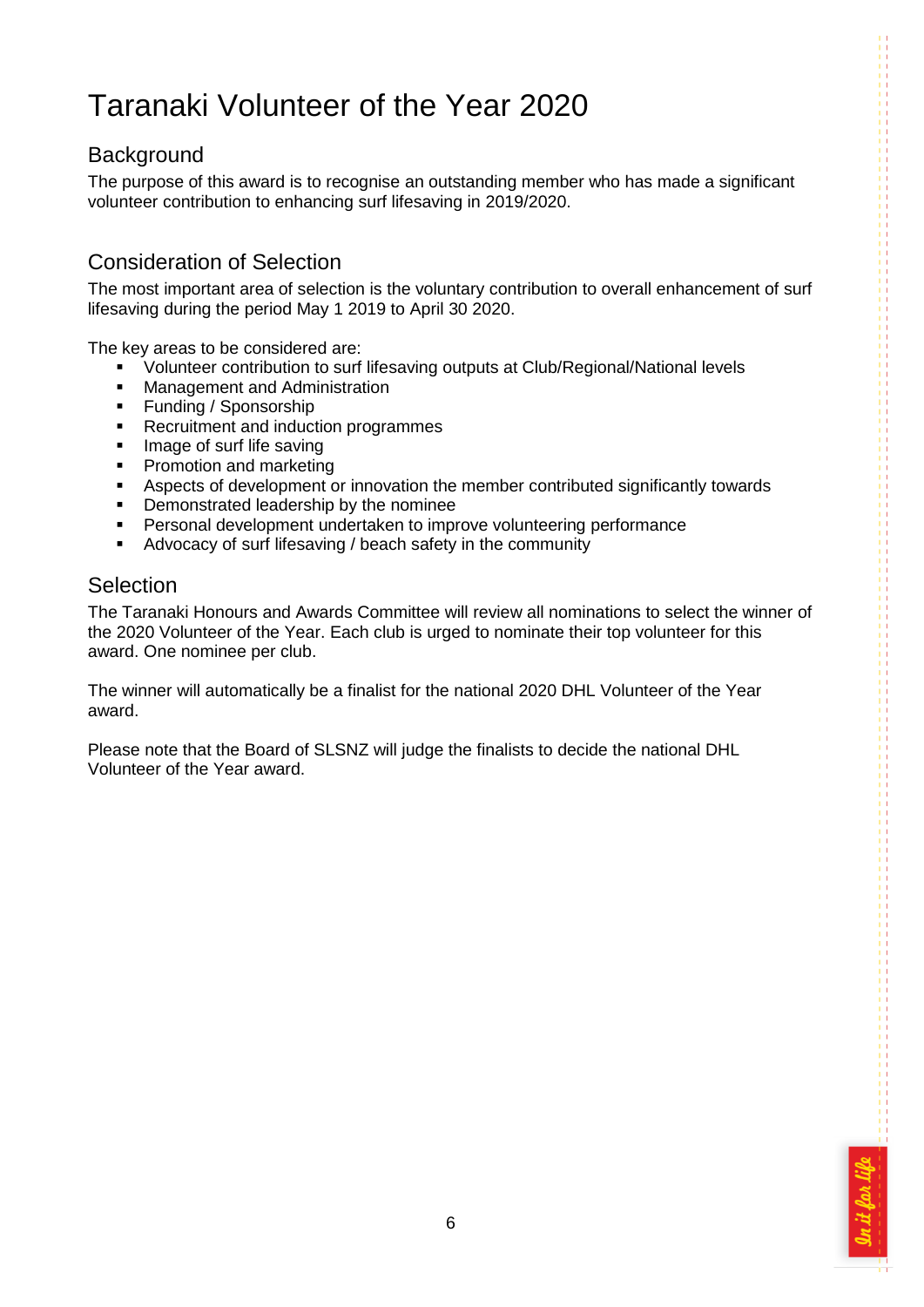### <span id="page-5-0"></span>Taranaki Volunteer of the Year 2020

### <span id="page-5-1"></span>**Background**

The purpose of this award is to recognise an outstanding member who has made a significant volunteer contribution to enhancing surf lifesaving in 2019/2020.

### Consideration of Selection

The most important area of selection is the voluntary contribution to overall enhancement of surf lifesaving during the period May 1 2019 to April 30 2020.

The key areas to be considered are:

- Volunteer contribution to surf lifesaving outputs at Club/Regional/National levels
- **Management and Administration**
- **Funding / Sponsorship**
- **Recruitment and induction programmes**
- **IMage of surf life saving**
- Promotion and marketing
- Aspects of development or innovation the member contributed significantly towards<br>
Demonstrated leadership by the nominee
- Demonstrated leadership by the nominee
- Personal development undertaken to improve volunteering performance
- Advocacy of surf lifesaving / beach safety in the community

### <span id="page-5-2"></span>Selection

The Taranaki Honours and Awards Committee will review all nominations to select the winner of the 2020 Volunteer of the Year. Each club is urged to nominate their top volunteer for this award. One nominee per club.

The winner will automatically be a finalist for the national 2020 DHL Volunteer of the Year award.

Please note that the Board of SLSNZ will judge the finalists to decide the national DHL Volunteer of the Year award.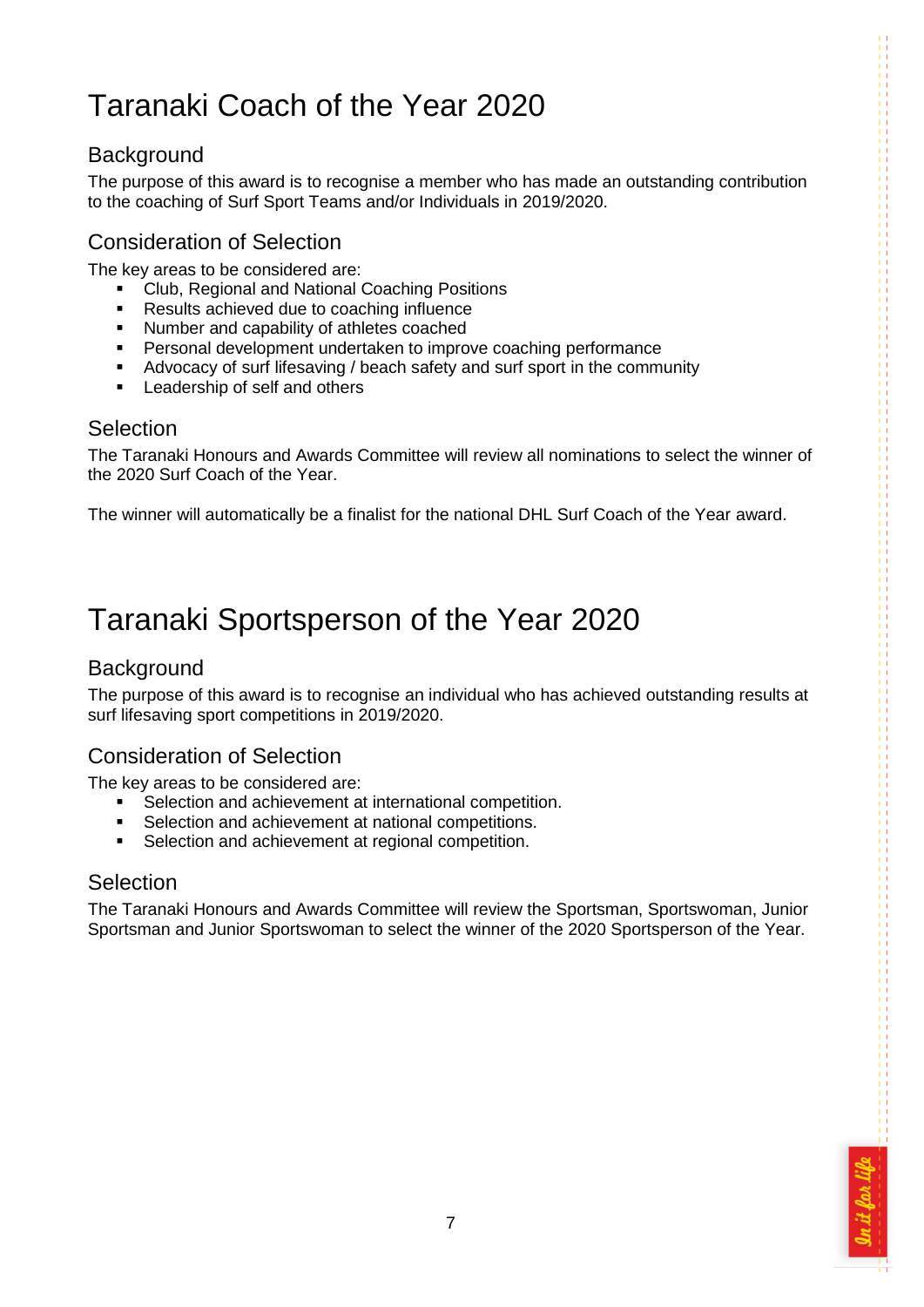# <span id="page-6-0"></span>Taranaki Coach of the Year 2020

### <span id="page-6-1"></span>**Background**

The purpose of this award is to recognise a member who has made an outstanding contribution to the coaching of Surf Sport Teams and/or Individuals in 2019/2020.

### Consideration of Selection

The key areas to be considered are:

- Club, Regional and National Coaching Positions
- Results achieved due to coaching influence
- **Number and capability of athletes coached**
- **Personal development undertaken to improve coaching performance**
- Advocacy of surf lifesaving / beach safety and surf sport in the community
- **Leadership of self and others**

#### <span id="page-6-2"></span>**Selection**

The Taranaki Honours and Awards Committee will review all nominations to select the winner of the 2020 Surf Coach of the Year.

The winner will automatically be a finalist for the national DHL Surf Coach of the Year award.

### <span id="page-6-3"></span>Taranaki Sportsperson of the Year 2020

### <span id="page-6-4"></span>**Background**

The purpose of this award is to recognise an individual who has achieved outstanding results at surf lifesaving sport competitions in 2019/2020.

### Consideration of Selection

The key areas to be considered are:

- Selection and achievement at international competition.
- Selection and achievement at national competitions.<br>
Selection and achievement at regional competition
- Selection and achievement at regional competition.

#### <span id="page-6-5"></span>**Selection**

The Taranaki Honours and Awards Committee will review the Sportsman, Sportswoman, Junior Sportsman and Junior Sportswoman to select the winner of the 2020 Sportsperson of the Year.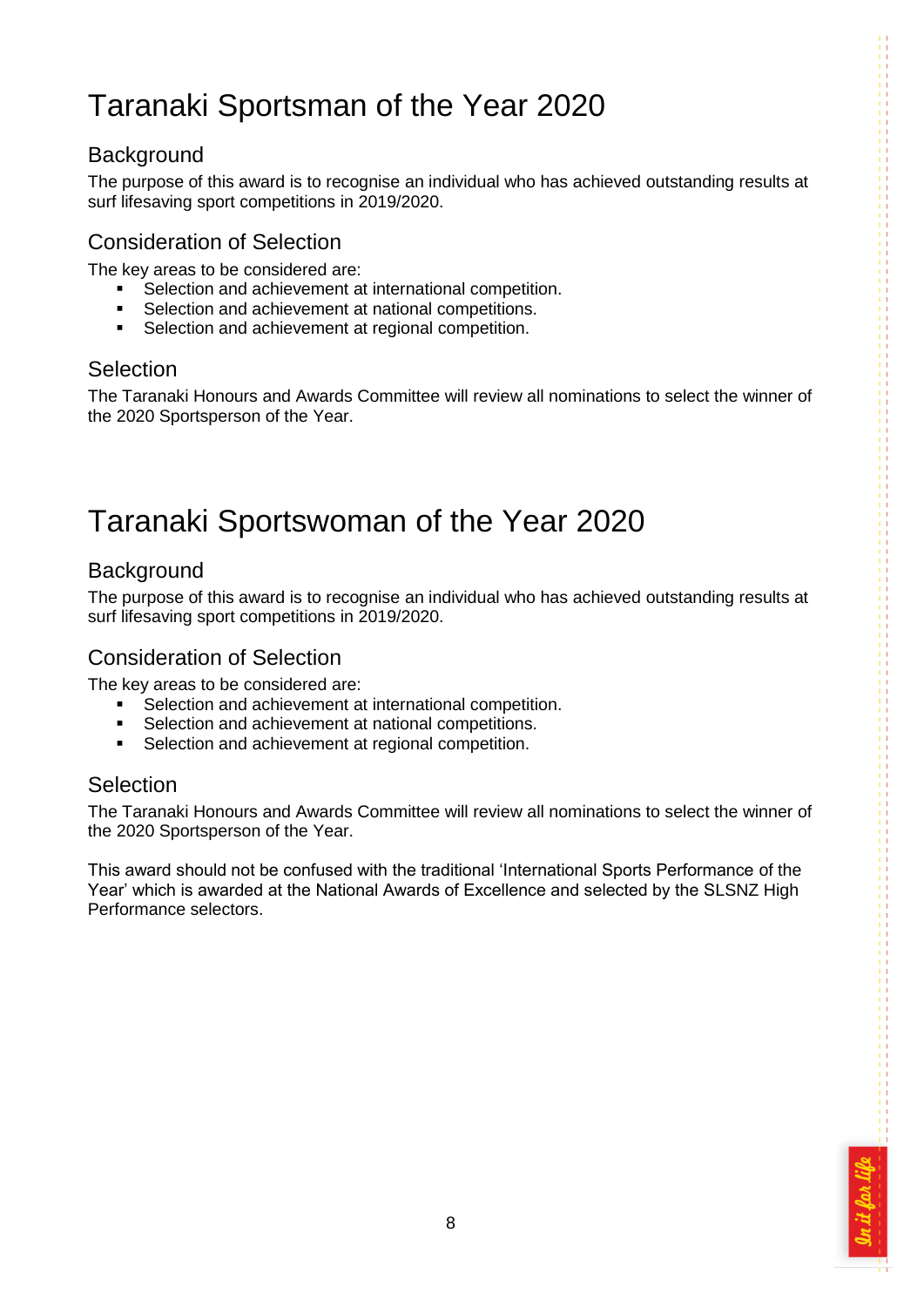# <span id="page-7-0"></span>Taranaki Sportsman of the Year 2020

### <span id="page-7-1"></span>**Background**

The purpose of this award is to recognise an individual who has achieved outstanding results at surf lifesaving sport competitions in 2019/2020.

### Consideration of Selection

The key areas to be considered are:

- Selection and achievement at international competition.
- Selection and achievement at national competitions.
- **Selection and achievement at regional competition.**

### <span id="page-7-2"></span>Selection

The Taranaki Honours and Awards Committee will review all nominations to select the winner of the 2020 Sportsperson of the Year.

### <span id="page-7-3"></span>Taranaki Sportswoman of the Year 2020

### <span id="page-7-4"></span>**Background**

The purpose of this award is to recognise an individual who has achieved outstanding results at surf lifesaving sport competitions in 2019/2020.

### Consideration of Selection

The key areas to be considered are:

- Selection and achievement at international competition.
- Selection and achievement at national competitions.<br>
Selection and achievement at regional competition
- Selection and achievement at regional competition.

### <span id="page-7-5"></span>Selection

The Taranaki Honours and Awards Committee will review all nominations to select the winner of the 2020 Sportsperson of the Year.

This award should not be confused with the traditional 'International Sports Performance of the Year' which is awarded at the National Awards of Excellence and selected by the SLSNZ High Performance selectors.

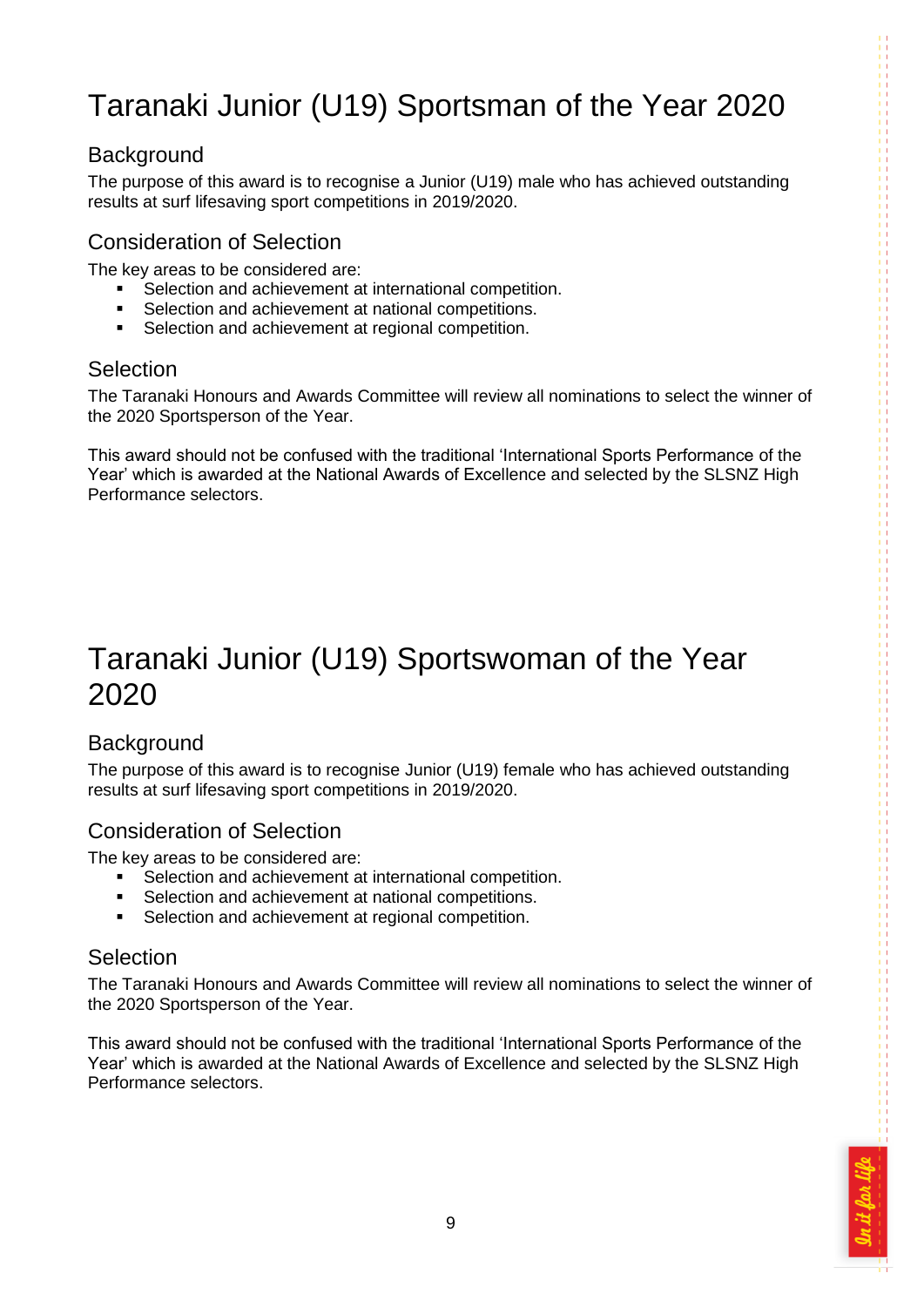# <span id="page-8-0"></span>Taranaki Junior (U19) Sportsman of the Year 2020

### <span id="page-8-1"></span>**Background**

The purpose of this award is to recognise a Junior (U19) male who has achieved outstanding results at surf lifesaving sport competitions in 2019/2020.

### Consideration of Selection

The key areas to be considered are:

- Selection and achievement at international competition.
- Selection and achievement at national competitions.
- **Selection and achievement at regional competition.**

### <span id="page-8-2"></span>**Selection**

The Taranaki Honours and Awards Committee will review all nominations to select the winner of the 2020 Sportsperson of the Year.

This award should not be confused with the traditional 'International Sports Performance of the Year' which is awarded at the National Awards of Excellence and selected by the SLSNZ High Performance selectors.

### <span id="page-8-3"></span>Taranaki Junior (U19) Sportswoman of the Year 2020

### <span id="page-8-4"></span>**Background**

The purpose of this award is to recognise Junior (U19) female who has achieved outstanding results at surf lifesaving sport competitions in 2019/2020.

### Consideration of Selection

The key areas to be considered are:

- Selection and achievement at international competition.
- **Selection and achievement at national competitions.**
- **Selection and achievement at regional competition.**

#### <span id="page-8-5"></span>**Selection**

The Taranaki Honours and Awards Committee will review all nominations to select the winner of the 2020 Sportsperson of the Year.

This award should not be confused with the traditional 'International Sports Performance of the Year' which is awarded at the National Awards of Excellence and selected by the SLSNZ High Performance selectors.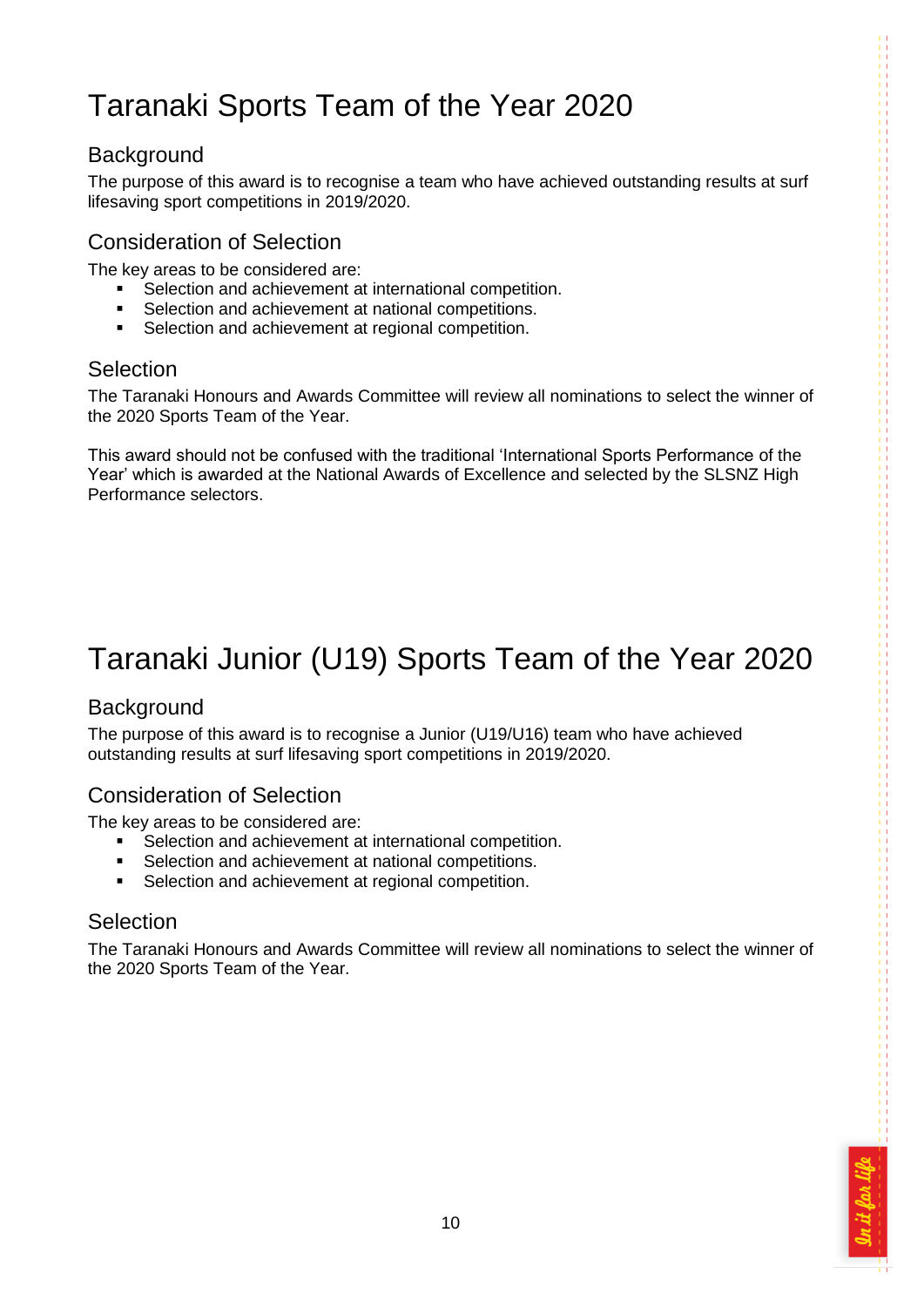# <span id="page-9-0"></span>Taranaki Sports Team of the Year 2020

### <span id="page-9-1"></span>**Background**

The purpose of this award is to recognise a team who have achieved outstanding results at surf lifesaving sport competitions in 2019/2020.

### Consideration of Selection

The key areas to be considered are:

- Selection and achievement at international competition.
- Selection and achievement at national competitions.
- **Selection and achievement at regional competition.**

### <span id="page-9-2"></span>**Selection**

The Taranaki Honours and Awards Committee will review all nominations to select the winner of the 2020 Sports Team of the Year.

This award should not be confused with the traditional 'International Sports Performance of the Year' which is awarded at the National Awards of Excellence and selected by the SLSNZ High Performance selectors.

# <span id="page-9-3"></span>Taranaki Junior (U19) Sports Team of the Year 2020

### <span id="page-9-4"></span>**Background**

The purpose of this award is to recognise a Junior (U19/U16) team who have achieved outstanding results at surf lifesaving sport competitions in 2019/2020.

### Consideration of Selection

The key areas to be considered are:

- Selection and achievement at international competition.<br>
Selection and achievement at national competitions
- Selection and achievement at national competitions.
- **Selection and achievement at regional competition.**

### <span id="page-9-5"></span>Selection

The Taranaki Honours and Awards Committee will review all nominations to select the winner of the 2020 Sports Team of the Year.

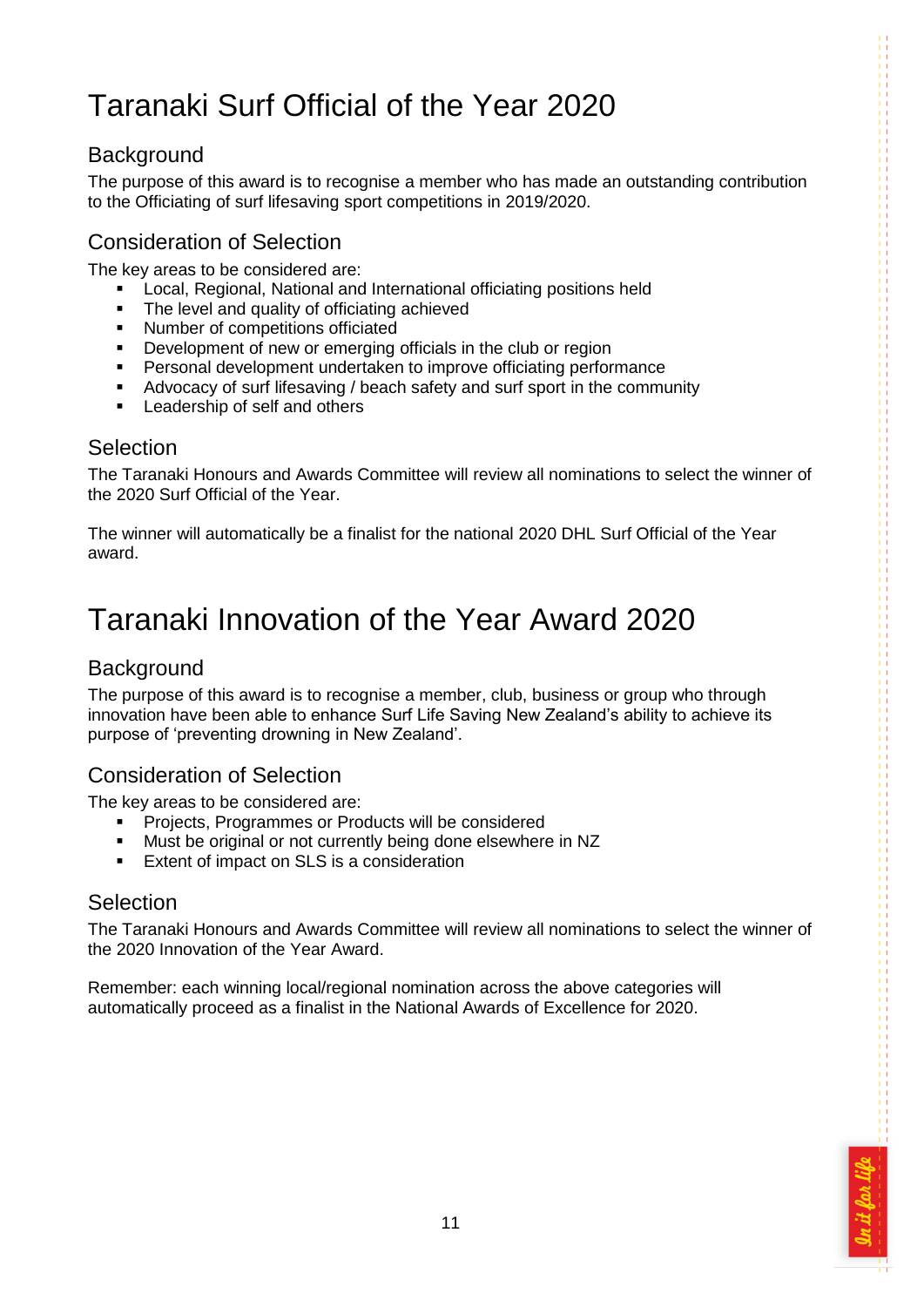# <span id="page-10-0"></span>Taranaki Surf Official of the Year 2020

### <span id="page-10-1"></span>**Background**

The purpose of this award is to recognise a member who has made an outstanding contribution to the Officiating of surf lifesaving sport competitions in 2019/2020.

### Consideration of Selection

The key areas to be considered are:

- Local, Regional, National and International officiating positions held
- The level and quality of officiating achieved
- Number of competitions officiated<br>• Development of new or emerging
- Development of new or emerging officials in the club or region
- Personal development undertaken to improve officiating performance
- Advocacy of surf lifesaving / beach safety and surf sport in the community
- **EXECUTE:** Leadership of self and others

#### <span id="page-10-2"></span>**Selection**

The Taranaki Honours and Awards Committee will review all nominations to select the winner of the 2020 Surf Official of the Year.

The winner will automatically be a finalist for the national 2020 DHL Surf Official of the Year award.

### <span id="page-10-3"></span>Taranaki Innovation of the Year Award 2020

### <span id="page-10-4"></span>**Background**

The purpose of this award is to recognise a member, club, business or group who through innovation have been able to enhance Surf Life Saving New Zealand's ability to achieve its purpose of 'preventing drowning in New Zealand'.

### Consideration of Selection

The key areas to be considered are:

- Projects, Programmes or Products will be considered
- Must be original or not currently being done elsewhere in NZ<br>Extent of impact on SLS is a consideration
- Extent of impact on SLS is a consideration

#### <span id="page-10-5"></span>Selection

The Taranaki Honours and Awards Committee will review all nominations to select the winner of the 2020 Innovation of the Year Award.

Remember: each winning local/regional nomination across the above categories will automatically proceed as a finalist in the National Awards of Excellence for 2020.